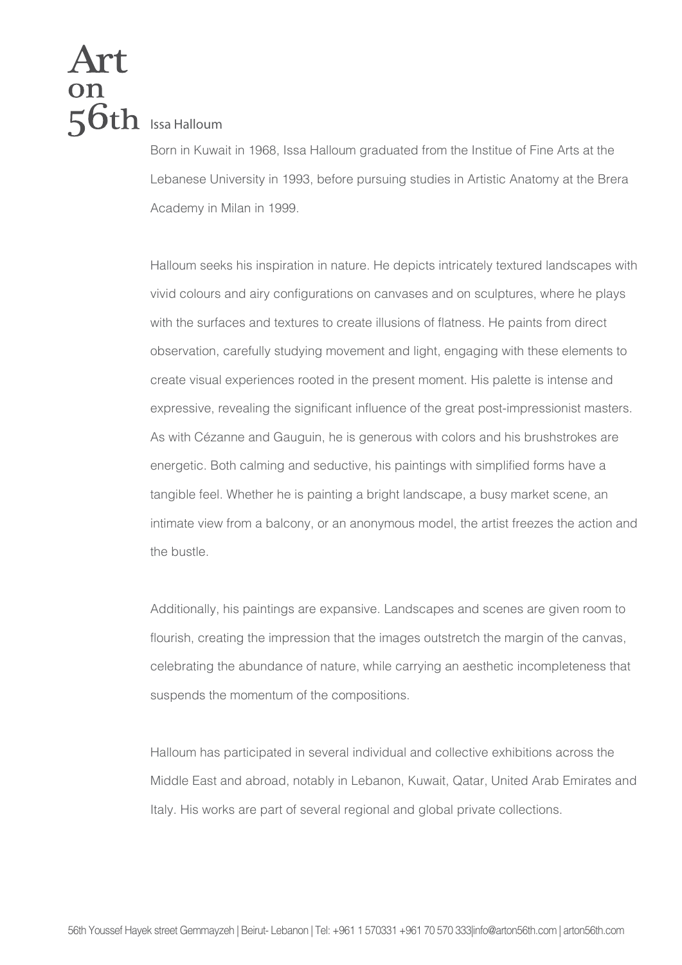## **Ion**<br>56th Issa Halloum

Born in Kuwait in 1968, Issa Halloum graduated from the Institue of Fine Arts at the Lebanese University in 1993, before pursuing studies in Artistic Anatomy at the Brera Academy in Milan in 1999.

Halloum seeks his inspiration in nature. He depicts intricately textured landscapes with vivid colours and airy configurations on canvases and on sculptures, where he plays with the surfaces and textures to create illusions of flatness. He paints from direct observation, carefully studying movement and light, engaging with these elements to create visual experiences rooted in the present moment. His palette is intense and expressive, revealing the significant influence of the great post-impressionist masters. As with Cézanne and Gauguin, he is generous with colors and his brushstrokes are energetic. Both calming and seductive, his paintings with simplified forms have a tangible feel. Whether he is painting a bright landscape, a busy market scene, an intimate view from a balcony, or an anonymous model, the artist freezes the action and the bustle.

Additionally, his paintings are expansive. Landscapes and scenes are given room to flourish, creating the impression that the images outstretch the margin of the canvas, celebrating the abundance of nature, while carrying an aesthetic incompleteness that suspends the momentum of the compositions.

Halloum has participated in several individual and collective exhibitions across the Middle East and abroad, notably in Lebanon, Kuwait, Qatar, United Arab Emirates and Italy. His works are part of several regional and global private collections.